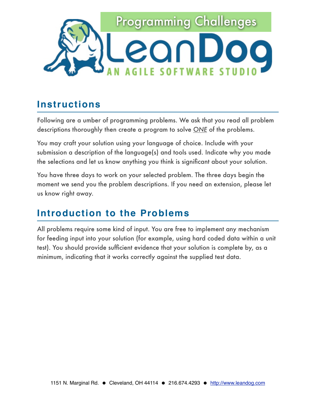

#### **Instructions**

Following are a umber of programming problems. We ask that you read all problem descriptions thoroughly then create a program to solve *ONE* of the problems.

You may craft your solution using your language of choice. Include with your submission a description of the language(s) and tools used. Indicate why you made the selections and let us know anything you think is significant about your solution.

You have three days to work on your selected problem. The three days begin the moment we send you the problem descriptions. If you need an extension, please let us know right away.

#### **Introduction to the Problems**

All problems require some kind of input. You are free to implement any mechanism for feeding input into your solution (for example, using hard coded data within a unit test). You should provide sufficient evidence that your solution is complete by, as a minimum, indicating that it works correctly against the supplied test data.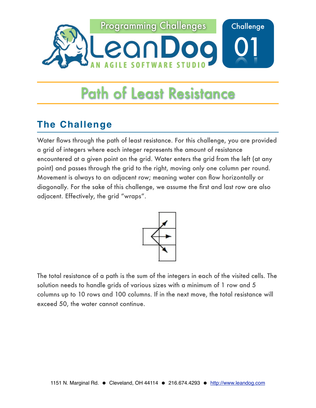

#### **The Challenge**

Water flows through the path of least resistance. For this challenge, you are provided a grid of integers where each integer represents the amount of resistance encountered at a given point on the grid. Water enters the grid from the left (at any point) and passes through the grid to the right, moving only one column per round. Movement is always to an adjacent row; meaning water can flow horizontally or diagonally. For the sake of this challenge, we assume the first and last row are also adjacent. Effectively, the grid "wraps".



The total resistance of a path is the sum of the integers in each of the visited cells. The solution needs to handle grids of various sizes with a minimum of 1 row and 5 columns up to 10 rows and 100 columns. If in the next move, the total resistance will exceed 50, the water cannot continue.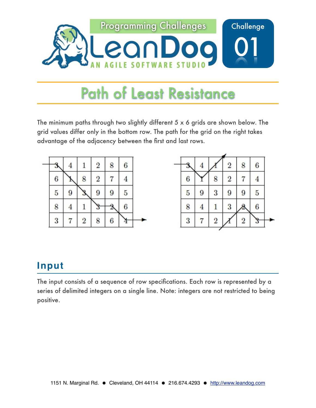

The minimum paths through two slightly different  $5 \times 6$  grids are shown below. The grid values differ only in the bottom row. The path for the grid on the right takes advantage of the adjacency between the first and last rows.



### **Input**

The input consists of a sequence of row specifications. Each row is represented by a series of delimited integers on a single line. Note: integers are not restricted to being positive.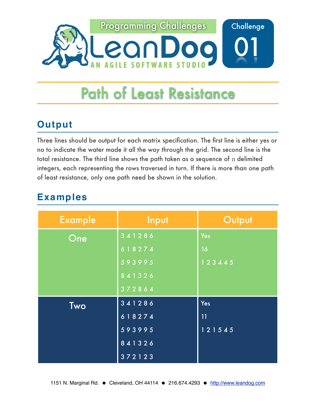

### **Output**

Three lines should be output for each matrix specification. The first line is either yes or no to indicate the water made it all the way through the grid. The second line is the total resistance. The third line shows the path taken as a sequence of *n* delimited integers, each representing the rows traversed in turn. If there is more than one path of least resistance, only one path need be shown in the solution.

| <b>Example</b> | Input  | Output |
|----------------|--------|--------|
| One            | 341286 | Yes    |
|                | 618274 | 16     |
|                | 593995 | 123445 |
|                | 841326 |        |
|                | 372864 |        |
| <b>Two</b>     | 341286 | Yes    |
|                | 618274 | 11     |
|                | 593995 | 121545 |
|                | 841326 |        |
|                | 372123 |        |

## **Examples**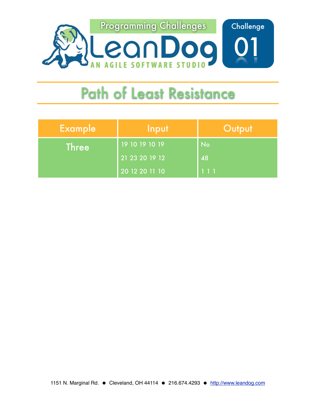

| <b>Example</b> | Input          | Output |
|----------------|----------------|--------|
| Three          | 19 10 19 10 19 | No     |
|                | 21 23 20 19 12 | 48     |
|                | 20 12 20 11 10 | 111    |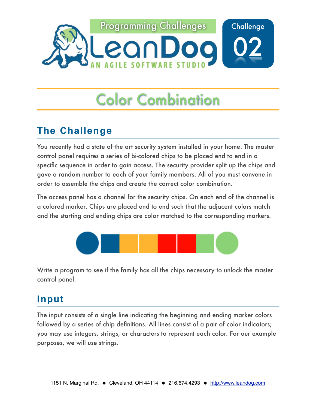

#### **The Challenge**

You recently had a state of the art security system installed in your home. The master control panel requires a series of bi-colored chips to be placed end to end in a specific sequence in order to gain access. The security provider split up the chips and gave a random number to each of your family members. All of you must convene in order to assemble the chips and create the correct color combination.

The access panel has a channel for the security chips. On each end of the channel is a colored marker. Chips are placed end to end such that the adjacent colors match and the starting and ending chips are color matched to the corresponding markers.



Write a program to see if the family has all the chips necessary to unlock the master control panel.

### **Input**

The input consists of a single line indicating the beginning and ending marker colors followed by a series of chip definitions. All lines consist of a pair of color indicators; you may use integers, strings, or characters to represent each color. For our example purposes, we will use strings.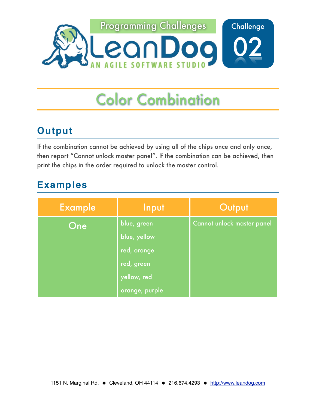

### **Output**

If the combination cannot be achieved by using all of the chips once and only once, then report "Cannot unlock master panel". If the combination can be achieved, then print the chips in the order required to unlock the master control.

### **Examples**

| <b>Example</b> | Input          | Output                     |
|----------------|----------------|----------------------------|
| One            | blue, green    | Cannot unlock master panel |
|                | blue, yellow   |                            |
|                | red, orange    |                            |
|                | red, green     |                            |
|                | yellow, red    |                            |
|                | orange, purple |                            |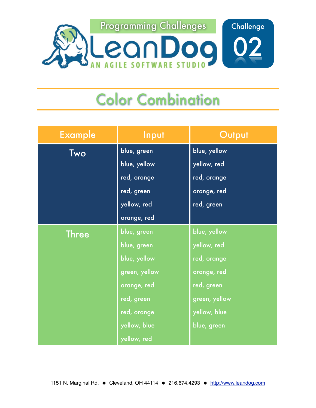

| <b>Example</b> | Input         | Output        |
|----------------|---------------|---------------|
| Two            | blue, green   | blue, yellow  |
|                | blue, yellow  | yellow, red   |
|                | red, orange   | red, orange   |
|                | red, green    | orange, red   |
|                | yellow, red   | red, green    |
|                | orange, red   |               |
| <b>Three</b>   | blue, green   | blue, yellow  |
|                | blue, green   | yellow, red   |
|                | blue, yellow  | red, orange   |
|                | green, yellow | orange, red   |
|                | orange, red   | red, green    |
|                | red, green    | green, yellow |
|                | red, orange   | yellow, blue  |
|                | yellow, blue  | blue, green   |
|                | yellow, red   |               |